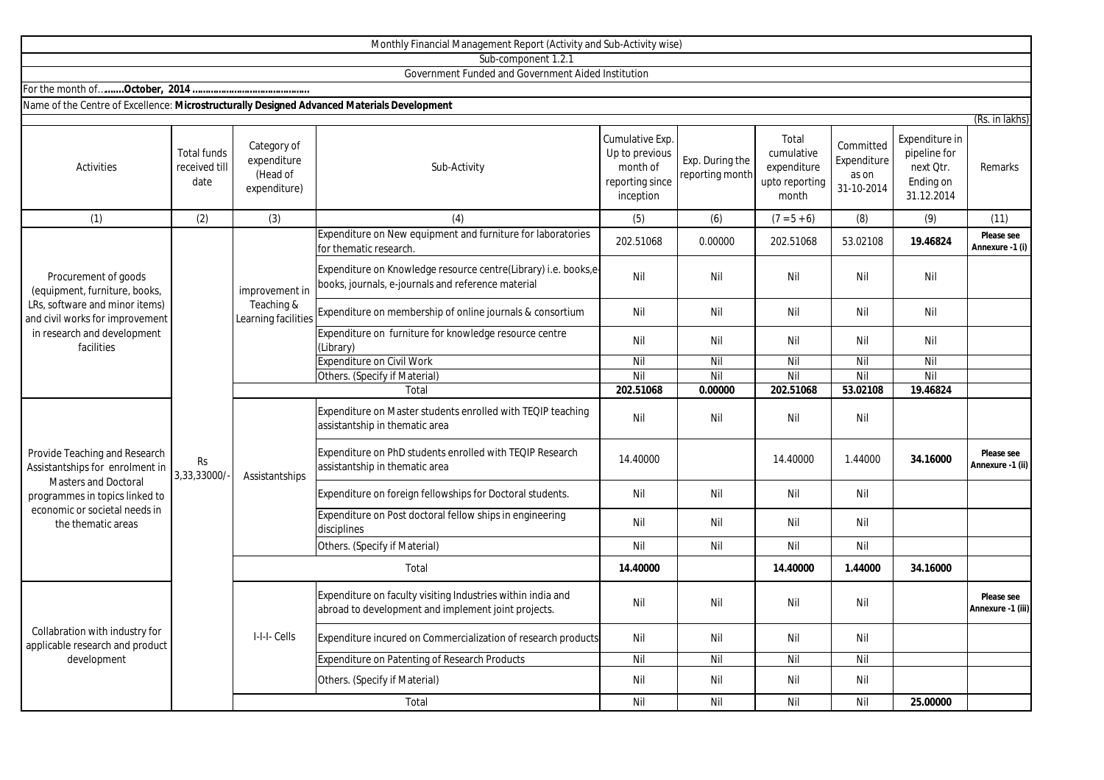|                                                                                                                                                                                          |                                             |                                                        | Monthly Financial Management Report (Activity and Sub-Activity wise)                                                  |                                                                               |                                    |                                                               |                                                 |                                                                        |                                 |
|------------------------------------------------------------------------------------------------------------------------------------------------------------------------------------------|---------------------------------------------|--------------------------------------------------------|-----------------------------------------------------------------------------------------------------------------------|-------------------------------------------------------------------------------|------------------------------------|---------------------------------------------------------------|-------------------------------------------------|------------------------------------------------------------------------|---------------------------------|
|                                                                                                                                                                                          |                                             |                                                        | Sub-component 1.2.1                                                                                                   |                                                                               |                                    |                                                               |                                                 |                                                                        |                                 |
|                                                                                                                                                                                          |                                             |                                                        | Government Funded and Government Aided Institution                                                                    |                                                                               |                                    |                                                               |                                                 |                                                                        |                                 |
|                                                                                                                                                                                          |                                             |                                                        |                                                                                                                       |                                                                               |                                    |                                                               |                                                 |                                                                        |                                 |
| Name of the Centre of Excellence: Microstructurally Designed Advanced Materials Development                                                                                              |                                             |                                                        |                                                                                                                       |                                                                               |                                    |                                                               |                                                 |                                                                        |                                 |
|                                                                                                                                                                                          |                                             |                                                        |                                                                                                                       |                                                                               |                                    |                                                               |                                                 |                                                                        | (Rs. in lakhs)                  |
| Activities                                                                                                                                                                               | <b>Total funds</b><br>received till<br>date | Category of<br>expenditure<br>(Head of<br>expenditure) | Sub-Activity                                                                                                          | Cumulative Exp.<br>Up to previous<br>month of<br>reporting since<br>inception | Exp. During the<br>reporting month | Total<br>cumulative<br>expenditure<br>upto reporting<br>month | Committed<br>Expenditure<br>as on<br>31-10-2014 | Expenditure in<br>pipeline for<br>next Otr.<br>Ending on<br>31.12.2014 | Remarks                         |
| (1)                                                                                                                                                                                      | (2)                                         | (3)                                                    | (4)                                                                                                                   | (5)                                                                           | (6)                                | $(7 = 5 + 6)$                                                 | (8)                                             | (9)                                                                    | (11)                            |
| Procurement of goods<br>(equipment, furniture, books,<br>LRs, software and minor items)<br>and civil works for improvement<br>in research and development<br>facilities                  | <b>Rs</b><br>3,33,33000/                    | improvement in<br>Teaching &<br>Learning facilities    | Expenditure on New equipment and furniture for laboratories<br>for thematic research.                                 | 202.51068                                                                     | 0.00000                            | 202.51068                                                     | 53.02108                                        | 19.46824                                                               | Please see<br>Annexure -1 (i)   |
|                                                                                                                                                                                          |                                             |                                                        | Expenditure on Knowledge resource centre(Library) i.e. books,e-<br>books, journals, e-journals and reference material | Nil                                                                           | Nil                                | Nil                                                           | Nil                                             | Nil                                                                    |                                 |
|                                                                                                                                                                                          |                                             |                                                        | Expenditure on membership of online journals & consortium                                                             | Nil                                                                           | Nil                                | Nil                                                           | Nil                                             | Nil                                                                    |                                 |
|                                                                                                                                                                                          |                                             |                                                        | Expenditure on furniture for knowledge resource centre<br>(Library)                                                   | Nil                                                                           | Nil                                | Nil                                                           | Nil                                             | Nil                                                                    |                                 |
|                                                                                                                                                                                          |                                             |                                                        | <b>Expenditure on Civil Work</b>                                                                                      | Nil                                                                           | Nil                                | Nil                                                           | Nil                                             | Nil                                                                    |                                 |
|                                                                                                                                                                                          |                                             |                                                        | Others. (Specify if Material)                                                                                         | Nil                                                                           | Nil                                | Nil                                                           | Nil                                             | Nil                                                                    |                                 |
|                                                                                                                                                                                          |                                             |                                                        | Total                                                                                                                 | 202.51068                                                                     | 0.00000                            | 202.51068                                                     | 53.02108                                        | 19.46824                                                               |                                 |
| Provide Teaching and Research<br>Assistantships for enrolment in<br><b>Masters and Doctoral</b><br>programmes in topics linked to<br>economic or societal needs in<br>the thematic areas |                                             | Assistantships                                         | Expenditure on Master students enrolled with TEQIP teaching<br>assistantship in thematic area                         | Nil                                                                           | Nil                                | Nil                                                           | Nil                                             |                                                                        |                                 |
|                                                                                                                                                                                          |                                             |                                                        | Expenditure on PhD students enrolled with TEQIP Research<br>assistantship in thematic area                            | 14.40000                                                                      |                                    | 14.40000                                                      | 1.44000                                         | 34.16000                                                               | Please see<br>Annexure -1 (ii)  |
|                                                                                                                                                                                          |                                             |                                                        | Expenditure on foreign fellowships for Doctoral students.                                                             | Nil                                                                           | Nil                                | Nil                                                           | Nil                                             |                                                                        |                                 |
|                                                                                                                                                                                          |                                             |                                                        | Expenditure on Post doctoral fellow ships in engineering<br>disciplines                                               | Nil                                                                           | Nil                                | Nil                                                           | Nil                                             |                                                                        |                                 |
|                                                                                                                                                                                          |                                             |                                                        | Others. (Specify if Material)                                                                                         | Nil                                                                           | Nil                                | Nil                                                           | Nil                                             |                                                                        |                                 |
|                                                                                                                                                                                          |                                             | Total                                                  |                                                                                                                       | 14.40000                                                                      |                                    | 14.40000                                                      | 1.44000                                         | 34.16000                                                               |                                 |
| Collabration with industry for<br>applicable research and product<br>development                                                                                                         |                                             | I-I-I- Cells                                           | Expenditure on faculty visiting Industries within india and<br>abroad to development and implement joint projects.    | Nil                                                                           | Nil                                | Nil                                                           | Nil                                             |                                                                        | Please see<br>Annexure -1 (iii) |
|                                                                                                                                                                                          |                                             |                                                        | Expenditure incured on Commercialization of research products                                                         | Nil                                                                           | Nil                                | Nil                                                           | Nil                                             |                                                                        |                                 |
|                                                                                                                                                                                          |                                             |                                                        | Expenditure on Patenting of Research Products                                                                         | Nil                                                                           | Nil                                | Nil                                                           | Nil                                             |                                                                        |                                 |
|                                                                                                                                                                                          |                                             |                                                        | Others. (Specify if Material)                                                                                         | Nil                                                                           | Nil                                | Nil                                                           | Nil                                             |                                                                        |                                 |

Total

Nil Nil Nil Nil **25.00000**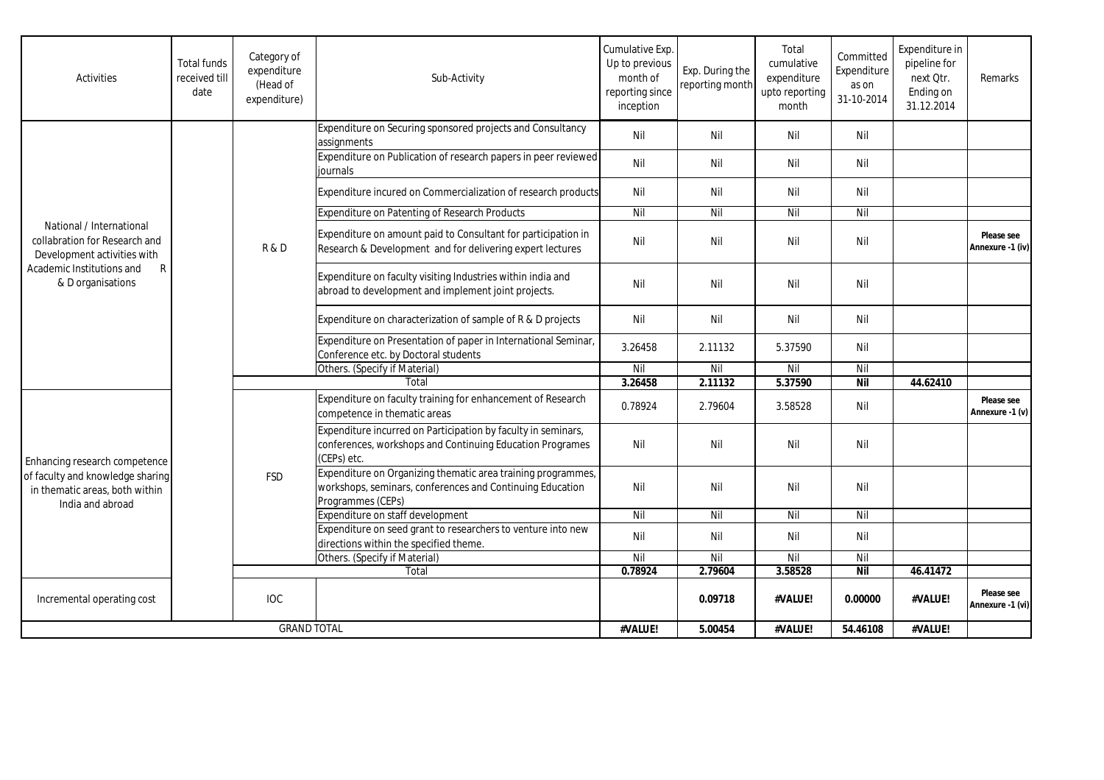| <b>Activities</b>                                                                                                                               | <b>Total funds</b><br>received till<br>date | Category of<br>expenditure<br>(Head of<br>expenditure) | Sub-Activity                                                                                                                                   | Cumulative Exp.<br>Up to previous<br>month of<br>reporting since<br>inception | Exp. During the<br>reporting month | Total<br>cumulative<br>expenditure<br>upto reporting<br>month | Committed<br>Expenditure<br>as on<br>31-10-2014 | Expenditure in<br>pipeline for<br>next Qtr.<br>Ending on<br>31.12.2014 | Remarks                        |
|-------------------------------------------------------------------------------------------------------------------------------------------------|---------------------------------------------|--------------------------------------------------------|------------------------------------------------------------------------------------------------------------------------------------------------|-------------------------------------------------------------------------------|------------------------------------|---------------------------------------------------------------|-------------------------------------------------|------------------------------------------------------------------------|--------------------------------|
| National / International<br>collabration for Research and<br>Development activities with<br>Academic Institutions and<br>R<br>& D organisations |                                             | R&D                                                    | Expenditure on Securing sponsored projects and Consultancy<br>assignments                                                                      | Nil                                                                           | Nil                                | Nil                                                           | Nil                                             |                                                                        |                                |
|                                                                                                                                                 |                                             |                                                        | Expenditure on Publication of research papers in peer reviewed<br>iournals                                                                     | Nil                                                                           | Nil                                | Nil                                                           | Nil                                             |                                                                        |                                |
|                                                                                                                                                 |                                             |                                                        | Expenditure incured on Commercialization of research products                                                                                  | Nil                                                                           | Nil                                | Nil                                                           | Nil                                             |                                                                        |                                |
|                                                                                                                                                 |                                             |                                                        | Expenditure on Patenting of Research Products                                                                                                  | Nil                                                                           | Nil                                | Nil                                                           | Nil                                             |                                                                        |                                |
|                                                                                                                                                 |                                             |                                                        | Expenditure on amount paid to Consultant for participation in<br>Research & Development and for delivering expert lectures                     | Nil                                                                           | Nil                                | Nil                                                           | Nil                                             |                                                                        | Please see<br>Annexure -1 (iv) |
|                                                                                                                                                 |                                             |                                                        | Expenditure on faculty visiting Industries within india and<br>abroad to development and implement joint projects.                             | Nil                                                                           | Nil                                | Nil                                                           | Nil                                             |                                                                        |                                |
|                                                                                                                                                 |                                             |                                                        | Expenditure on characterization of sample of R & D projects                                                                                    | Nil                                                                           | Nil                                | Nil                                                           | Nil                                             |                                                                        |                                |
|                                                                                                                                                 |                                             |                                                        | Expenditure on Presentation of paper in International Seminar,<br>Conference etc. by Doctoral students                                         | 3.26458                                                                       | 2.11132                            | 5.37590                                                       | Nil                                             |                                                                        |                                |
|                                                                                                                                                 |                                             |                                                        | Others. (Specify if Material)                                                                                                                  | Nil                                                                           | Nil                                | Nil                                                           | Nil                                             |                                                                        |                                |
|                                                                                                                                                 |                                             | Total                                                  |                                                                                                                                                | 3.26458                                                                       | 2.11132                            | 5.37590                                                       | <b>Nil</b>                                      | 44.62410                                                               |                                |
| Enhancing research competence<br>of faculty and knowledge sharing<br>in thematic areas, both within<br>India and abroad                         |                                             | <b>FSD</b>                                             | Expenditure on faculty training for enhancement of Research<br>competence in thematic areas                                                    | 0.78924                                                                       | 2.79604                            | 3.58528                                                       | Nil                                             |                                                                        | Please see<br>Annexure -1 (v)  |
|                                                                                                                                                 |                                             |                                                        | Expenditure incurred on Participation by faculty in seminars,<br>conferences, workshops and Continuing Education Programes<br>(CEPs) etc.      | Nil                                                                           | Nil                                | Nil                                                           | Nil                                             |                                                                        |                                |
|                                                                                                                                                 |                                             |                                                        | Expenditure on Organizing thematic area training programmes,<br>workshops, seminars, conferences and Continuing Education<br>Programmes (CEPs) | Nil                                                                           | Nil                                | Nil                                                           | Nil                                             |                                                                        |                                |
|                                                                                                                                                 |                                             |                                                        | Expenditure on staff development                                                                                                               | Nil                                                                           | Nil                                | Nil                                                           | Nil                                             |                                                                        |                                |
|                                                                                                                                                 |                                             |                                                        | Expenditure on seed grant to researchers to venture into new<br>directions within the specified theme.                                         | Nil                                                                           | Nil                                | Nil                                                           | Nil                                             |                                                                        |                                |
|                                                                                                                                                 |                                             |                                                        | Others. (Specify if Material)                                                                                                                  | Nil                                                                           | Nil                                | Nil                                                           | Nil                                             |                                                                        |                                |
|                                                                                                                                                 |                                             |                                                        | Total                                                                                                                                          | 0.78924                                                                       | 2.79604                            | 3.58528                                                       | <b>Nil</b>                                      | 46.41472                                                               |                                |
| Incremental operating cost                                                                                                                      |                                             | <b>IOC</b>                                             |                                                                                                                                                |                                                                               | 0.09718                            | #VALUE!                                                       | 0.00000                                         | #VALUE!                                                                | Please see<br>Annexure -1 (vi) |
| <b>GRAND TOTAL</b>                                                                                                                              |                                             |                                                        | #VALUE!                                                                                                                                        | 5.00454                                                                       | #VALUE!                            | 54.46108                                                      | #VALUE!                                         |                                                                        |                                |